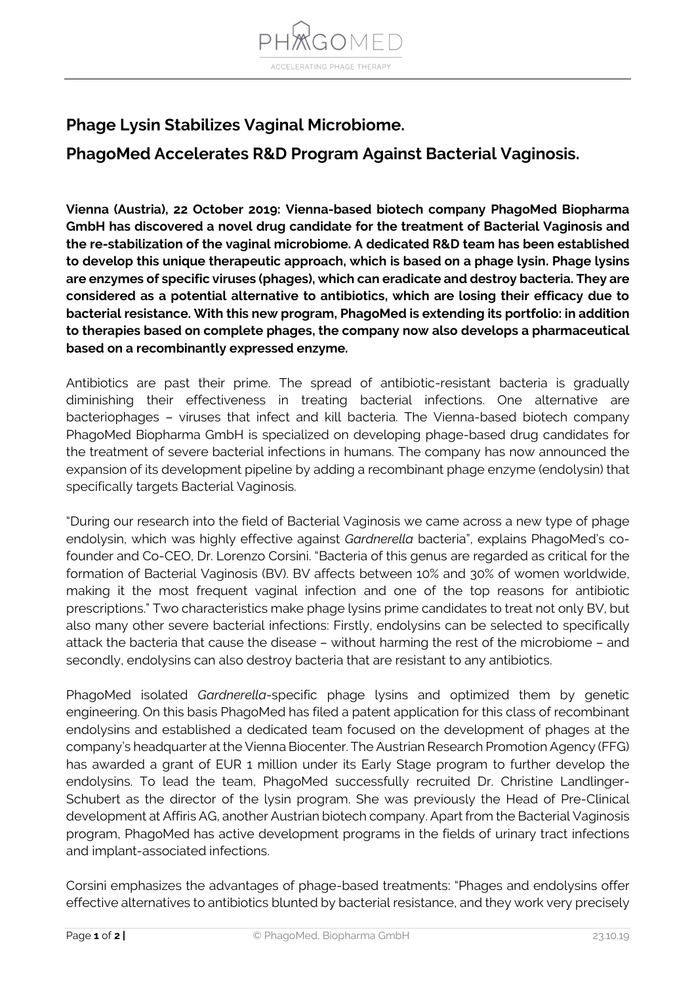

## **Phage Lysin Stabilizes Vaginal Microbiome.**

## **PhagoMed Accelerates R&D Program Against Bacterial Vaginosis.**

**Vienna (Austria), 22 October 2019: Vienna-based biotech company PhagoMed Biopharma GmbH has discovered a novel drug candidate for the treatment of Bacterial Vaginosis and the re-stabilization of the vaginal microbiome. A dedicated R&D team has been established to develop this unique therapeutic approach, which is based on a phage lysin. Phage lysins are enzymes of specific viruses (phages), which can eradicate and destroy bacteria. They are considered as a potential alternative to antibiotics, which are losing their efficacy due to bacterial resistance. With this new program, PhagoMed is extending its portfolio: in addition to therapies based on complete phages, the company now also develops a pharmaceutical based on a recombinantly expressed enzyme.**

Antibiotics are past their prime. The spread of antibiotic-resistant bacteria is gradually diminishing their effectiveness in treating bacterial infections. One alternative are bacteriophages – viruses that infect and kill bacteria. The Vienna-based biotech company PhagoMed Biopharma GmbH is specialized on developing phage-based drug candidates for the treatment of severe bacterial infections in humans. The company has now announced the expansion of its development pipeline by adding a recombinant phage enzyme (endolysin) that specifically targets Bacterial Vaginosis.

"During our research into the field of Bacterial Vaginosis we came across a new type of phage endolysin, which was highly effective against *Gardnerella* bacteria", explains PhagoMed's cofounder and Co-CEO, Dr. Lorenzo Corsini. "Bacteria of this genus are regarded as critical for the formation of Bacterial Vaginosis (BV). BV affects between 10% and 30% of women worldwide, making it the most frequent vaginal infection and one of the top reasons for antibiotic prescriptions." Two characteristics make phage lysins prime candidates to treat not only BV, but also many other severe bacterial infections: Firstly, endolysins can be selected to specifically attack the bacteria that cause the disease – without harming the rest of the microbiome – and secondly, endolysins can also destroy bacteria that are resistant to any antibiotics.

PhagoMed isolated *Gardnerella*-specific phage lysins and optimized them by genetic engineering. On this basis PhagoMed has filed a patent application for this class of recombinant endolysins and established a dedicated team focused on the development of phages at the company's headquarter at the Vienna Biocenter. The Austrian Research Promotion Agency (FFG) has awarded a grant of EUR 1 million under its Early Stage program to further develop the endolysins. To lead the team, PhagoMed successfully recruited Dr. Christine Landlinger-Schubert as the director of the lysin program. She was previously the Head of Pre-Clinical development at Affiris AG, another Austrian biotech company. Apart from the Bacterial Vaginosis program, PhagoMed has active development programs in the fields of urinary tract infections and implant-associated infections.

Corsini emphasizes the advantages of phage-based treatments: "Phages and endolysins offer effective alternatives to antibiotics blunted by bacterial resistance, and they work very precisely